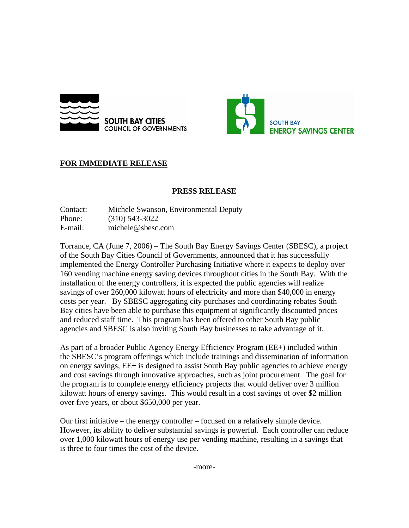



## **FOR IMMEDIATE RELEASE**

## **PRESS RELEASE**

Contact: Michele Swanson, Environmental Deputy Phone: (310) 543-3022 E-mail: michele@sbesc.com

Torrance, CA (June 7, 2006) – The South Bay Energy Savings Center (SBESC), a project of the South Bay Cities Council of Governments, announced that it has successfully implemented the Energy Controller Purchasing Initiative where it expects to deploy over 160 vending machine energy saving devices throughout cities in the South Bay. With the installation of the energy controllers, it is expected the public agencies will realize savings of over 260,000 kilowatt hours of electricity and more than \$40,000 in energy costs per year. By SBESC aggregating city purchases and coordinating rebates South Bay cities have been able to purchase this equipment at significantly discounted prices and reduced staff time. This program has been offered to other South Bay public agencies and SBESC is also inviting South Bay businesses to take advantage of it.

As part of a broader Public Agency Energy Efficiency Program (EE+) included within the SBESC's program offerings which include trainings and dissemination of information on energy savings, EE+ is designed to assist South Bay public agencies to achieve energy and cost savings through innovative approaches, such as joint procurement. The goal for the program is to complete energy efficiency projects that would deliver over 3 million kilowatt hours of energy savings. This would result in a cost savings of over \$2 million over five years, or about \$650,000 per year.

Our first initiative – the energy controller – focused on a relatively simple device. However, its ability to deliver substantial savings is powerful. Each controller can reduce over 1,000 kilowatt hours of energy use per vending machine, resulting in a savings that is three to four times the cost of the device.